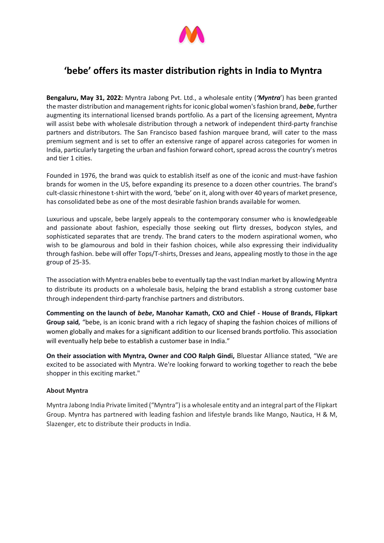

## **'bebe' offers its master distribution rights in India to Myntra**

**Bengaluru, May 31, 2022:** Myntra Jabong Pvt. Ltd., a wholesale entity (*'Myntra*') has been granted the master distribution and management rights for iconic global women's fashion brand, *bebe*, further augmenting its international licensed brands portfolio. As a part of the licensing agreement, Myntra will assist bebe with wholesale distribution through a network of independent third-party franchise partners and distributors. The San Francisco based fashion marquee brand, will cater to the mass premium segment and is set to offer an extensive range of apparel across categories for women in India, particularly targeting the urban and fashion forward cohort, spread across the country's metros and tier 1 cities.

Founded in 1976, the brand was quick to establish itself as one of the iconic and must-have fashion brands for women in the US, before expanding its presence to a dozen other countries. The brand's cult-classic rhinestone t-shirt with the word, 'bebe' on it, along with over 40 years of market presence, has consolidated bebe as one of the most desirable fashion brands available for women.

Luxurious and upscale, bebe largely appeals to the contemporary consumer who is knowledgeable and passionate about fashion, especially those seeking out flirty dresses, bodycon styles, and sophisticated separates that are trendy. The brand caters to the modern aspirational women, who wish to be glamourous and bold in their fashion choices, while also expressing their individuality through fashion. bebe will offer Tops/T-shirts, Dresses and Jeans, appealing mostly to those in the age group of 25-35.

The association with Myntra enables bebe to eventually tap the vast Indian market by allowing Myntra to distribute its products on a wholesale basis, helping the brand establish a strong customer base through independent third-party franchise partners and distributors.

**Commenting on the launch of** *bebe***, Manohar Kamath, CXO and Chief - House of Brands, Flipkart Group said***,* "bebe, is an iconic brand with a rich legacy of shaping the fashion choices of millions of women globally and makes for a significant addition to our licensed brands portfolio. This association will eventually help bebe to establish a customer base in India."

**On their association with Myntra, Owner and COO Ralph Gindi, Bluestar Alliance stated,** "We are excited to be associated with Myntra. We're looking forward to working together to reach the bebe shopper in this exciting market."

## **About Myntra**

Myntra Jabong India Private limited ("Myntra") is a wholesale entity and an integral part of the Flipkart Group. Myntra has partnered with leading fashion and lifestyle brands like Mango, Nautica, H & M, Slazenger, etc to distribute their products in India.